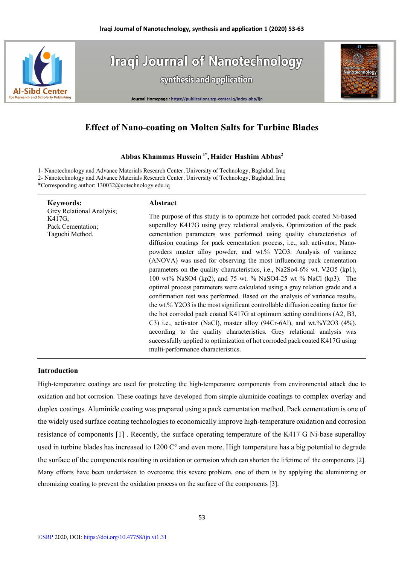

**Iraqi Journal of Nanotechnology** synthesis and application



#### Journal Homepage : https://publications.srp-center.iq/index.php/ijn

# **Effect of Nano-coating on Molten Salts for Turbine Blades**

## **Abbas Khammas Hussein 1\* , Haider Hashim Abbas2**

1- Nanotechnology and Advance Materials Research Center, University of Technology, Baghdad, Iraq 2- Nanotechnology and Advance Materials Research Center, University of Technology, Baghdad, Iraq \*Corresponding author: 130032@uotechnology.edu.iq

| <b>Keywords:</b>                                                            | Abstract                                                                                                                                                                                                                                                                                                                                                                                                                                                                                                                                                                                                                                                                                                                                                                                                                                                                                                                                                                                                                                                                                                                                                                                                                |
|-----------------------------------------------------------------------------|-------------------------------------------------------------------------------------------------------------------------------------------------------------------------------------------------------------------------------------------------------------------------------------------------------------------------------------------------------------------------------------------------------------------------------------------------------------------------------------------------------------------------------------------------------------------------------------------------------------------------------------------------------------------------------------------------------------------------------------------------------------------------------------------------------------------------------------------------------------------------------------------------------------------------------------------------------------------------------------------------------------------------------------------------------------------------------------------------------------------------------------------------------------------------------------------------------------------------|
| Grey Relational Analysis;<br>K417G;<br>Pack Cementation;<br>Taguchi Method. | The purpose of this study is to optimize hot corroded pack coated Ni-based<br>superalloy K417G using grey relational analysis. Optimization of the pack<br>cementation parameters was performed using quality characteristics of<br>diffusion coatings for pack cementation process, i.e., salt activator, Nano-<br>powders master alloy powder, and wt.% Y2O3. Analysis of variance<br>(ANOVA) was used for observing the most influencing pack cementation<br>parameters on the quality characteristics, i.e., Na2So4-6% wt. V2O5 (kp1),<br>100 wt% NaSO4 (kp2), and 75 wt. % NaSO4-25 wt % NaCl (kp3). The<br>optimal process parameters were calculated using a grey relation grade and a<br>confirmation test was performed. Based on the analysis of variance results,<br>the wt.% Y2O3 is the most significant controllable diffusion coating factor for<br>the hot corroded pack coated K417G at optimum setting conditions (A2, B3,<br>C3) i.e., activator (NaCl), master alloy (94Cr-6Al), and wt.%Y2O3 (4%).<br>according to the quality characteristics. Grey relational analysis was<br>successfully applied to optimization of hot corroded pack coated K417G using<br>multi-performance characteristics. |
|                                                                             |                                                                                                                                                                                                                                                                                                                                                                                                                                                                                                                                                                                                                                                                                                                                                                                                                                                                                                                                                                                                                                                                                                                                                                                                                         |

#### **Introduction**

High-temperature coatings are used for protecting the high-temperature components from environmental attack due to oxidation and hot corrosion. These coatings have developed from simple aluminide coatings to complex overlay and duplex coatings. Aluminide coating was prepared using a pack cementation method. Pack cementation is one of the widely used surface coating technologies to economically improve high-temperature oxidation and corrosion resistance of components [1] . Recently, the surface operating temperature of the K417 G Ni-base superalloy used in turbine blades has increased to 1200 C° and even more. High temperature has a big potential to degrade the surface of the components resulting in oxidation or corrosion which can shorten the lifetime of the components [2]. Many efforts have been undertaken to overcome this severe problem, one of them is by applying the aluminizing or chromizing coating to prevent the oxidation process on the surface of the components [3].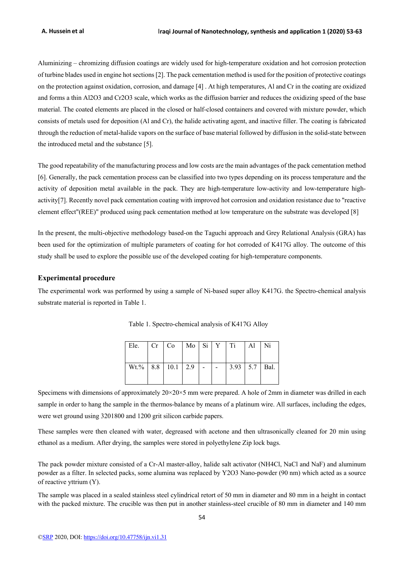Aluminizing – chromizing diffusion coatings are widely used for high-temperature oxidation and hot corrosion protection of turbine blades used in engine hot sections [2]. The pack cementation method is used for the position of protective coatings on the protection against oxidation, corrosion, and damage [4] . At high temperatures, Al and Cr in the coating are oxidized and forms a thin Al2O3 and Cr2O3 scale, which works as the diffusion barrier and reduces the oxidizing speed of the base material. The coated elements are placed in the closed or half-closed containers and covered with mixture powder, which consists of metals used for deposition (Al and Cr), the halide activating agent, and inactive filler. The coating is fabricated through the reduction of metal-halide vapors on the surface of base material followed by diffusion in the solid-state between the introduced metal and the substance [5].

The good repeatability of the manufacturing process and low costs are the main advantages of the pack cementation method [6]. Generally, the pack cementation process can be classified into two types depending on its process temperature and the activity of deposition metal available in the pack. They are high-temperature low-activity and low-temperature highactivity[7]. Recently novel pack cementation coating with improved hot corrosion and oxidation resistance due to "reactive element effect"(REE)" produced using pack cementation method at low temperature on the substrate was developed [8]

In the present, the multi-objective methodology based-on the Taguchi approach and Grey Relational Analysis (GRA) has been used for the optimization of multiple parameters of coating for hot corroded of K417G alloy. The outcome of this study shall be used to explore the possible use of the developed coating for high-temperature components.

## **Experimental procedure**

The experimental work was performed by using a sample of Ni-based super alloy K417G. the Spectro-chemical analysis substrate material is reported in Table 1.

| Ele.                       | Cr Co Mo Si Y Ti |  |                     | Al Ni |  |
|----------------------------|------------------|--|---------------------|-------|--|
| $Wt.\%$   8.8   10.1   2.9 |                  |  | $3.93$   5.7   Bal. |       |  |

Table 1. Spectro-chemical analysis of K417G Alloy

Specimens with dimensions of approximately 20×20×5 mm were prepared. A hole of 2mm in diameter was drilled in each sample in order to hang the sample in the thermos-balance by means of a platinum wire. All surfaces, including the edges, were wet ground using 3201800 and 1200 grit silicon carbide papers.

These samples were then cleaned with water, degreased with acetone and then ultrasonically cleaned for 20 min using ethanol as a medium. After drying, the samples were stored in polyethylene Zip lock bags.

The pack powder mixture consisted of a Cr-Al master-alloy, halide salt activator (NH4Cl, NaCl and NaF) and aluminum powder as a filter. In selected packs, some alumina was replaced by Y2O3 Nano-powder (90 nm) which acted as a source of reactive yttrium (Υ).

The sample was placed in a sealed stainless steel cylindrical retort of 50 mm in diameter and 80 mm in a height in contact with the packed mixture. The crucible was then put in another stainless-steel crucible of 80 mm in diameter and 140 mm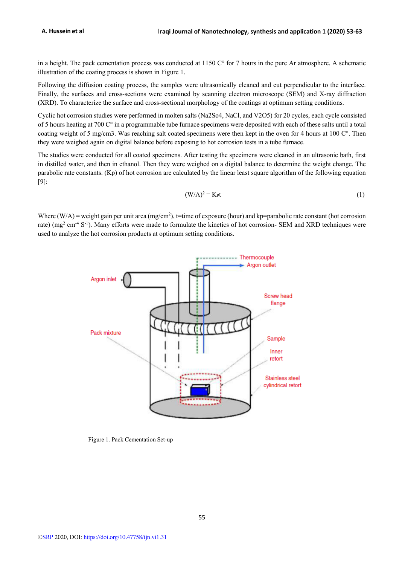in a height. The pack cementation process was conducted at 1150 C° for 7 hours in the pure Ar atmosphere. A schematic illustration of the coating process is shown in Figure 1.

Following the diffusion coating process, the samples were ultrasonically cleaned and cut perpendicular to the interface. Finally, the surfaces and cross-sections were examined by scanning electron microscope (SEM) and X-ray diffraction (XRD). To characterize the surface and cross-sectional morphology of the coatings at optimum setting conditions.

Cyclic hot corrosion studies were performed in molten salts (Na2So4, NaCl, and V2O5) for 20 cycles, each cycle consisted of 5 hours heating at 700 C° in a programmable tube furnace specimens were deposited with each of these salts until a total coating weight of 5 mg/cm3. Was reaching salt coated specimens were then kept in the oven for 4 hours at 100 C°. Then they were weighed again on digital balance before exposing to hot corrosion tests in a tube furnace.

The studies were conducted for all coated specimens. After testing the specimens were cleaned in an ultrasonic bath, first in distilled water, and then in ethanol. Then they were weighed on a digital balance to determine the weight change. The parabolic rate constants. (Kp) of hot corrosion are calculated by the linear least square algorithm of the following equation [9]:

$$
(W/A)^2 = K_P t \tag{1}
$$

Where  $(W/A)$  = weight gain per unit area (mg/cm<sup>2</sup>), t=time of exposure (hour) and kp=parabolic rate constant (hot corrosion rate) ( $mg^2$  cm<sup>-4</sup> S<sup>-1</sup>). Many efforts were made to formulate the kinetics of hot corrosion- SEM and XRD techniques were used to analyze the hot corrosion products at optimum setting conditions.



Figure 1. Pack Cementation Set-up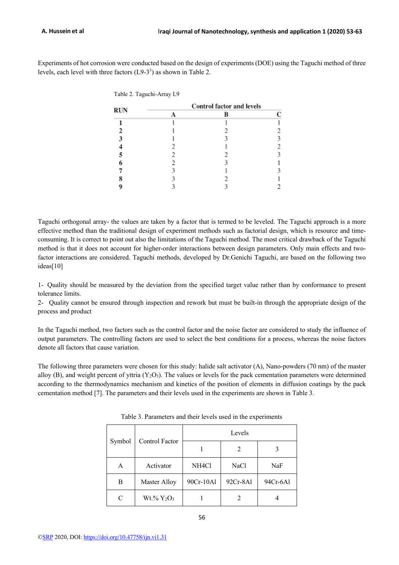Experiments of hot corrosion were conducted based on the design of experiments (DOE) using the Taguchi method of three levels, each level with three factors  $(L9-3^3)$  as shown in Table 2.

| Table 2. Taguchi-Array L9 |                                  |  |  |  |  |  |
|---------------------------|----------------------------------|--|--|--|--|--|
|                           | <b>Control factor and levels</b> |  |  |  |  |  |
| <b>RUN</b>                |                                  |  |  |  |  |  |
|                           |                                  |  |  |  |  |  |
|                           |                                  |  |  |  |  |  |
|                           |                                  |  |  |  |  |  |
|                           |                                  |  |  |  |  |  |
|                           |                                  |  |  |  |  |  |
|                           |                                  |  |  |  |  |  |
|                           |                                  |  |  |  |  |  |
|                           |                                  |  |  |  |  |  |
|                           |                                  |  |  |  |  |  |
|                           |                                  |  |  |  |  |  |

Taguchi orthogonal array- the values are taken by a factor that is termed to be leveled. The Taguchi approach is a more effective method than the traditional design of experiment methods such as factorial design, which is resource and timeconsuming. It is correct to point out also the limitations of the Taguchi method. The most critical drawback of the Taguchi method is that it does not account for higher-order interactions between design parameters. Only main effects and twofactor interactions are considered. Taguchi methods, developed by Dr.Genichi Taguchi, are based on the following two ideas[10]

1- Quality should be measured by the deviation from the specified target value rather than by conformance to present tolerance limits.

2- Quality cannot be ensured through inspection and rework but must be built-in through the appropriate design of the process and product

In the Taguchi method, two factors such as the control factor and the noise factor are considered to study the influence of output parameters. The controlling factors are used to select the best conditions for a process, whereas the noise factors denote all factors that cause variation.

The following three parameters were chosen for this study: halide salt activator (A), Nano-powders (70 nm) of the master alloy (B), and weight percent of yttria  $(Y_2O_3)$ . The values or levels for the pack cementation parameters were determined according to the thermodynamics mechanism and kinetics of the position of elements in diffusion coatings by the pack cementation method [7]. The parameters and their levels used in the experiments are shown in Table 3.

|        |                                    | Levels             |             |          |  |  |  |
|--------|------------------------------------|--------------------|-------------|----------|--|--|--|
| Symbol | Control Factor                     |                    | 2           |          |  |  |  |
| Α      | Activator                          | NH <sub>4</sub> Cl | <b>NaCl</b> | NaF      |  |  |  |
| В      | <b>Master Alloy</b>                | 90Cr-10Al          | 92Cr-8Al    | 94Cr-6Al |  |  |  |
| C      | Wt.% Y <sub>2</sub> O <sub>3</sub> |                    |             |          |  |  |  |

Table 3. Parameters and their levels used in the experiments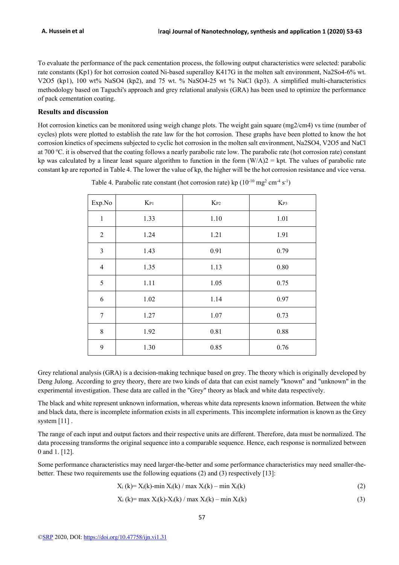To evaluate the performance of the pack cementation process, the following output characteristics were selected: parabolic rate constants (Kp1) for hot corrosion coated Ni-based superalloy K417G in the molten salt environment, Na2So4-6% wt. V2O5 (kp1), 100 wt% NaSO4 (kp2), and 75 wt. % NaSO4-25 wt % NaCl (kp3). A simplified multi-characteristics methodology based on Taguchi's approach and grey relational analysis (GRA) has been used to optimize the performance of pack cementation coating.

#### **Results and discussion**

Hot corrosion kinetics can be monitored using weigh change plots. The weight gain square (mg2/cm4) vs time (number of cycles) plots were plotted to establish the rate law for the hot corrosion. These graphs have been plotted to know the hot corrosion kinetics of specimens subjected to cyclic hot corrosion in the molten salt environment, Na2SO4, V2O5 and NaCl at 700 °C. it is observed that the coating follows a nearly parabolic rate low. The parabolic rate (hot corrosion rate) constant kp was calculated by a linear least square algorithm to function in the form  $(W/A)2 = kpt$ . The values of parabolic rate constant kp are reported in Table 4. The lower the value of kp, the higher will be the hot corrosion resistance and vice versa.

| Exp.No           | $K_{P1}$ | $K_{P2}$ | $K_{P3}$ |
|------------------|----------|----------|----------|
| $\mathbf{1}$     | 1.33     | 1.10     | 1.01     |
| $\sqrt{2}$       | 1.24     | 1.21     | 1.91     |
| $\overline{3}$   | 1.43     | 0.91     | 0.79     |
| $\overline{4}$   | 1.35     | 1.13     | 0.80     |
| 5                | 1.11     | 1.05     | 0.75     |
| 6                | 1.02     | 1.14     | 0.97     |
| $\boldsymbol{7}$ | 1.27     | 1.07     | 0.73     |
| $8\,$            | 1.92     | 0.81     | 0.88     |
| 9                | 1.30     | 0.85     | 0.76     |

Table 4. Parabolic rate constant (hot corrosion rate) kp  $(10^{-10} \text{ mg}^2 \text{ cm}^{-4} \text{ s}^{-1})$ 

Grey relational analysis (GRA) is a decision-making technique based on grey. The theory which is originally developed by Deng Julong. According to grey theory, there are two kinds of data that can exist namely "known" and "unknown" in the experimental investigation. These data are called in the "Grey" theory as black and white data respectively.

The black and white represent unknown information, whereas white data represents known information. Between the white and black data, there is incomplete information exists in all experiments. This incomplete information is known as the Grey system [11] .

The range of each input and output factors and their respective units are different. Therefore, data must be normalized. The data processing transforms the original sequence into a comparable sequence. Hence, each response is normalized between 0 and 1. [12].

Some performance characteristics may need larger-the-better and some performance characteristics may need smaller-thebetter. These two requirements use the following equations (2) and (3) respectively [13]:

$$
X_i(k) = X_i(k) - \min X_i(k) / \max X_i(k) - \min X_i(k)
$$
 (2)

$$
X_i(k) = \max X_i(k) - X_i(k) / \max X_i(k) - \min X_i(k)
$$
 (3)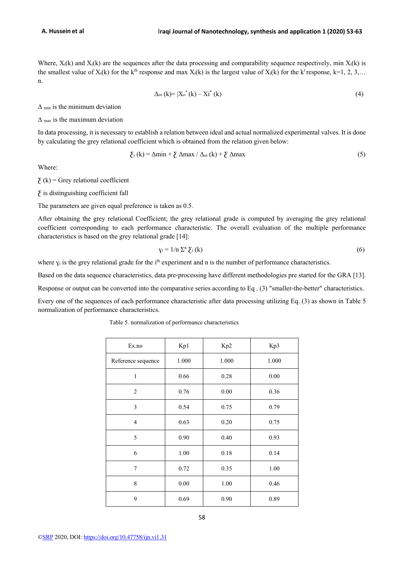Where,  $X_i(k)$  and  $X_i(k)$  are the sequences after the data processing and comparability sequence respectively, min  $X_i(k)$  is the smallest value of  $X_i(k)$  for the k<sup>th</sup> response and max  $X_i(k)$  is the largest value of  $X_i(k)$  for the k<sup>t</sup> response, k=1, 2, 3,... n.

$$
\Delta_{\text{o}i}(k) = |X_{\text{o}}^{*}(k) - Xi^{*}(k)
$$
\n(4)

 $\Delta$  min is the minimum deviation

 $\Delta$ <sub>max</sub> is the maximum deviation

In data processing, it is necessary to establish a relation between ideal and actual normalized experimental valves. It is done by calculating the grey relational coefficient which is obtained from the relation given below:

$$
\sum_{i} (k) = \Delta \min + \sum_{i} \Delta \max / \Delta_{oi} (k) + \sum_{i} \Delta \max
$$
 (5)

Where:

 $\Sigma$  (k) = Grey relational coefficient

 $\Sigma$  is distinguishing coefficient fall

The parameters are given equal preference is taken as 0.5.

After obtaining the grey relational Coefficient; the grey relational grade is computed by averaging the grey relational coefficient corresponding to each performance characteristic. The overall evaluation of the multiple performance characteristics is based on the grey relational grade [14]:

$$
y_i = 1/n \sum_{i=1}^{n} (k)
$$
 (6)

where  $y_i$  is the grey relational grade for the i<sup>th</sup> experiment and n is the number of performance characteristics.

Based on the data sequence characteristics, data pre-processing have different methodologies pre started for the GRA [13].

Response or output can be converted into the comparative series according to Eq.  $(3)$  "smaller-the-better" characteristics.

Every one of the sequences of each performance characteristic after data processing utilizing Eq. (3) as shown in Table 5 normalization of performance characteristics.

Table 5. normalization of performance characteristics

| Ex.no              | Kp1   | Kp2   | Kp3   |
|--------------------|-------|-------|-------|
| Reference sequence | 1.000 | 1.000 | 1.000 |
| $\mathbf{1}$       | 0.66  | 0.28  | 0.00  |
| $\overline{c}$     | 0.76  | 0.00  | 0.36  |
| 3                  | 0.54  | 0.75  | 0.79  |
| $\overline{4}$     | 0.63  | 0.20  | 0.75  |
| 5                  | 0.90  | 0.40  | 0.93  |
| 6                  | 1.00  | 0.18  | 0.14  |
| 7                  | 0.72  | 0.35  | 1.00  |
| 8                  | 0.00  | 1.00  | 0.46  |
| 9                  | 0.69  | 0.90  | 0.89  |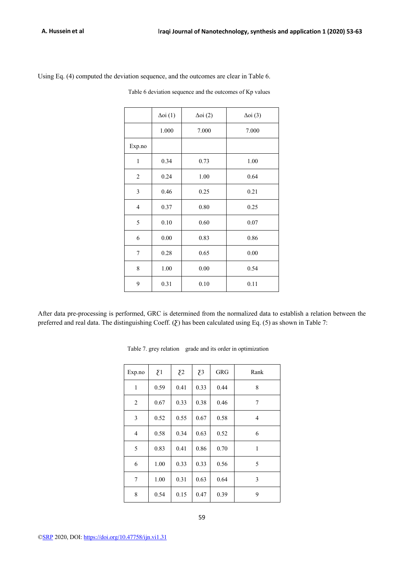| Using Eq. (4) computed the deviation sequence, and the outcomes are clear in Table 6. |  |  |  |
|---------------------------------------------------------------------------------------|--|--|--|
|---------------------------------------------------------------------------------------|--|--|--|

Table 6 deviation sequence and the outcomes of Kp values

|                  | $\Delta$ oi $(1)$ | $\Delta$ oi (2) | $\Delta$ oi (3) |
|------------------|-------------------|-----------------|-----------------|
|                  | 1.000             | 7.000           | 7.000           |
| Exp.no           |                   |                 |                 |
| $\mathbf{1}$     | 0.34              | 0.73            | 1.00            |
| $\overline{2}$   | 0.24              | 1.00            | 0.64            |
| $\mathfrak{Z}$   | 0.46              | 0.25            | 0.21            |
| $\overline{4}$   | 0.37              | 0.80            | 0.25            |
| 5                | 0.10              | 0.60            | 0.07            |
| 6                | 0.00              | 0.83            | 0.86            |
| $\boldsymbol{7}$ | 0.28              | 0.65            | 0.00            |
| 8                | 1.00              | 0.00            | 0.54            |
| 9                | 0.31              | 0.10            | 0.11            |

After data pre-processing is performed, GRC is determined from the normalized data to establish a relation between the preferred and real data. The distinguishing Coeff. ( $\Sigma$ ) has been calculated using Eq. (5) as shown in Table 7:

| Exp.no         | $\Sigma$ 1 | $\Sigma$ | $\overline{\mathcal{E}}$ 3 | <b>GRG</b> | Rank |
|----------------|------------|----------|----------------------------|------------|------|
| $\mathbf{1}$   | 0.59       | 0.41     | 0.33                       | 0.44       | 8    |
| 2              | 0.67       | 0.33     | 0.38                       | 0.46       | 7    |
| 3              | 0.52       | 0.55     | 0.67                       | 0.58       | 4    |
| $\overline{4}$ | 0.58       | 0.34     | 0.63                       | 0.52       | 6    |
| 5              | 0.83       | 0.41     | 0.86                       | 0.70       | 1    |
| 6              | 1.00       | 0.33     | 0.33                       | 0.56       | 5    |
| 7              | 1.00       | 0.31     | 0.63                       | 0.64       | 3    |
| 8              | 0.54       | 0.15     | 0.47                       | 0.39       | 9    |

Table 7. grey relation grade and its order in optimization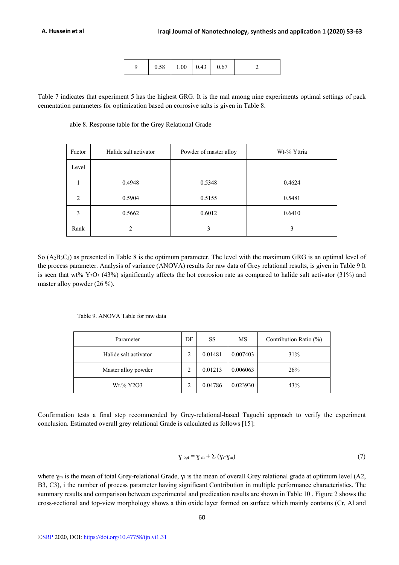|  | 0.58 | 1.00 | $\degree$ 0.43 | 0.67 |  |
|--|------|------|----------------|------|--|
|--|------|------|----------------|------|--|

Table 7 indicates that experiment 5 has the highest GRG. It is the mal among nine experiments optimal settings of pack cementation parameters for optimization based on corrosive salts is given in Table 8.

able 8. Response table for the Grey Relational Grade

| Factor         | Halide salt activator | Powder of master alloy | Wt-% Yttria |
|----------------|-----------------------|------------------------|-------------|
| Level          |                       |                        |             |
|                | 0.4948                | 0.5348                 | 0.4624      |
| $\overline{2}$ | 0.5904                | 0.5155                 | 0.5481      |
| 3              | 0.5662                | 0.6012                 | 0.6410      |
| Rank           |                       | 3                      | 3           |

So  $(A_2B_3C_3)$  as presented in Table 8 is the optimum parameter. The level with the maximum GRG is an optimal level of the process parameter. Analysis of variance (ANOVA) results for raw data of Grey relational results, is given in Table 9 It is seen that wt%  $Y_2O_3$  (43%) significantly affects the hot corrosion rate as compared to halide salt activator (31%) and master alloy powder (26 %).

Table 9. ANOVA Table for raw data

| Parameter             | DF | <b>SS</b> | MS       | Contribution Ratio (%) |
|-----------------------|----|-----------|----------|------------------------|
| Halide salt activator | 2  | 0.01481   | 0.007403 | 31%                    |
| Master alloy powder   |    | 0.01213   | 0.006063 | 26%                    |
| Wt.% Y2O3             |    | 0.04786   | 0.023930 | 43%                    |

Confirmation tests a final step recommended by Grey-relational-based Taguchi approach to verify the experiment conclusion. Estimated overall grey relational Grade is calculated as follows [15]:

$$
\gamma_{\text{opt}} = \gamma_m + \Sigma (\gamma_i - \gamma_m) \tag{7}
$$

where  $y_m$  is the mean of total Grey-relational Grade,  $y_i$  is the mean of overall Grey relational grade at optimum level (A2, B3, C3), i the number of process parameter having significant Contribution in multiple performance characteristics. The summary results and comparison between experimental and predication results are shown in Table 10 . Figure 2 shows the cross-sectional and top-view morphology shows a thin oxide layer formed on surface which mainly contains (Cr, Al and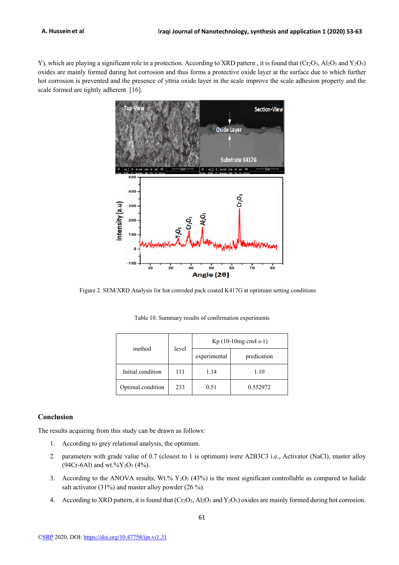Y), which are playing a significant role in a protection. According to XRD pattern, it is found that (Cr<sub>2</sub>O<sub>3</sub>, Al<sub>2</sub>O<sub>3</sub> and Y<sub>2</sub>O<sub>3</sub>) oxides are mainly formed during hot corrosion and thus forms a protective oxide layer at the surface due to which further hot corrosion is prevented and the presence of yttria oxide layer in the scale improve the scale adhesion property and the scale formed are tightly adherent [16].



Figure 2. SEM/XRD Analysis for hot corroded pack coated K417G at optimum setting conditions

| method            | level | $Kp(10-10mg cm4 s-1)$ |             |
|-------------------|-------|-----------------------|-------------|
|                   |       | experimental          | predication |
| Initial condition | 111   | 1.14                  | 1.10        |
| Optimal condition | 233   | 0.51                  | 0.552972    |

Table 10. Summary results of confirmation experiments

### **Conclusion**

The results acquiring from this study can be drawn as follows:

- 1. According to grey relational analysis, the optimum.
- 2. parameters with grade value of 0.7 (closest to 1 is optimum) were A2B3C3 i.e., Activator (NaCl), master alloy (94Cr-6Al) and wt.%Y2O3 (4%).
- 3. According to the ANOVA results, Wt.%  $Y_2O_3$  (43%) is the most significant controllable as compared to halide salt activator (31%) and master alloy powder (26 %).
- 4. According to XRD pattern, it is found that  $(Cr_2O_3, Al_2O_3$  and  $Y_2O_3)$  oxides are mainly formed during hot corrosion.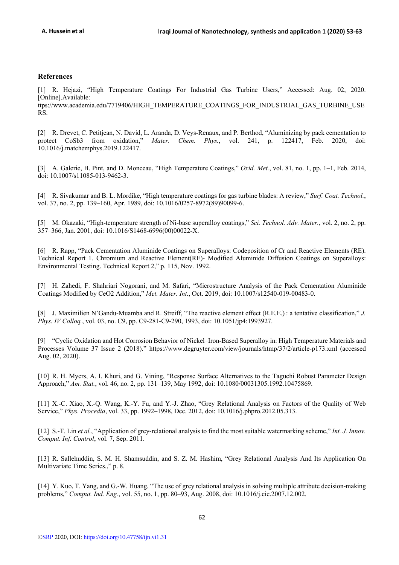## **References**

[1] R. Hejazi, "High Temperature Coatings For Industrial Gas Turbine Users," Accessed: Aug. 02, 2020. [Online].Available: ttps://www.academia.edu/7719406/HIGH\_TEMPERATURE\_COATINGS\_FOR\_INDUSTRIAL\_GAS\_TURBINE\_USE RS.

[2] R. Drevet, C. Petitjean, N. David, L. Aranda, D. Veys-Renaux, and P. Berthod, "Aluminizing by pack cementation to protect CoSb3 from oxidation," *Mater. Chem. Phys.*, vol. 241, p. 122417, Feb. 2020, doi: 10.1016/j.matchemphys.2019.122417.

[3] A. Galerie, B. Pint, and D. Monceau, "High Temperature Coatings," *Oxid. Met.*, vol. 81, no. 1, pp. 1–1, Feb. 2014, doi: 10.1007/s11085-013-9462-3.

[4] R. Sivakumar and B. L. Mordike, "High temperature coatings for gas turbine blades: A review," *Surf. Coat. Technol.*, vol. 37, no. 2, pp. 139–160, Apr. 1989, doi: 10.1016/0257-8972(89)90099-6.

[5] M. Okazaki, "High-temperature strength of Ni-base superalloy coatings," *Sci. Technol. Adv. Mater.*, vol. 2, no. 2, pp. 357–366, Jan. 2001, doi: 10.1016/S1468-6996(00)00022-X.

[6] R. Rapp, "Pack Cementation Aluminide Coatings on Superalloys: Codeposition of Cr and Reactive Elements (RE). Technical Report 1. Chromium and Reactive Element(RE)- Modified Aluminide Diffusion Coatings on Superalloys: Environmental Testing. Technical Report 2," p. 115, Nov. 1992.

[7] H. Zahedi, F. Shahriari Nogorani, and M. Safari, "Microstructure Analysis of the Pack Cementation Aluminide Coatings Modified by CeO2 Addition," *Met. Mater. Int.*, Oct. 2019, doi: 10.1007/s12540-019-00483-0.

[8] J. Maximilien N'Gandu-Muamba and R. Streiff, "The reactive element effect (R.E.E.) : a tentative classification," *J. Phys. IV Colloq.*, vol. 03, no. C9, pp. C9-281-C9-290, 1993, doi: 10.1051/jp4:1993927.

[9] "Cyclic Oxidation and Hot Corrosion Behavior of Nickel–Iron-Based Superalloy in: High Temperature Materials and Processes Volume 37 Issue 2 (2018)." https://www.degruyter.com/view/journals/htmp/37/2/article-p173.xml (accessed Aug. 02, 2020).

[10] R. H. Myers, A. I. Khuri, and G. Vining, "Response Surface Alternatives to the Taguchi Robust Parameter Design Approach," *Am. Stat.*, vol. 46, no. 2, pp. 131–139, May 1992, doi: 10.1080/00031305.1992.10475869.

[11] X.-C. Xiao, X.-Q. Wang, K.-Y. Fu, and Y.-J. Zhao, "Grey Relational Analysis on Factors of the Quality of Web Service," *Phys. Procedia*, vol. 33, pp. 1992–1998, Dec. 2012, doi: 10.1016/j.phpro.2012.05.313.

[12] S.-T. Lin *et al.*, "Application of grey-relational analysis to find the most suitable watermarking scheme," *Int. J. Innov. Comput. Inf. Control*, vol. 7, Sep. 2011.

[13] R. Sallehuddin, S. M. H. Shamsuddin, and S. Z. M. Hashim, "Grey Relational Analysis And Its Application On Multivariate Time Series.," p. 8.

[14] Y. Kuo, T. Yang, and G.-W. Huang, "The use of grey relational analysis in solving multiple attribute decision-making problems," *Comput. Ind. Eng.*, vol. 55, no. 1, pp. 80–93, Aug. 2008, doi: 10.1016/j.cie.2007.12.002.